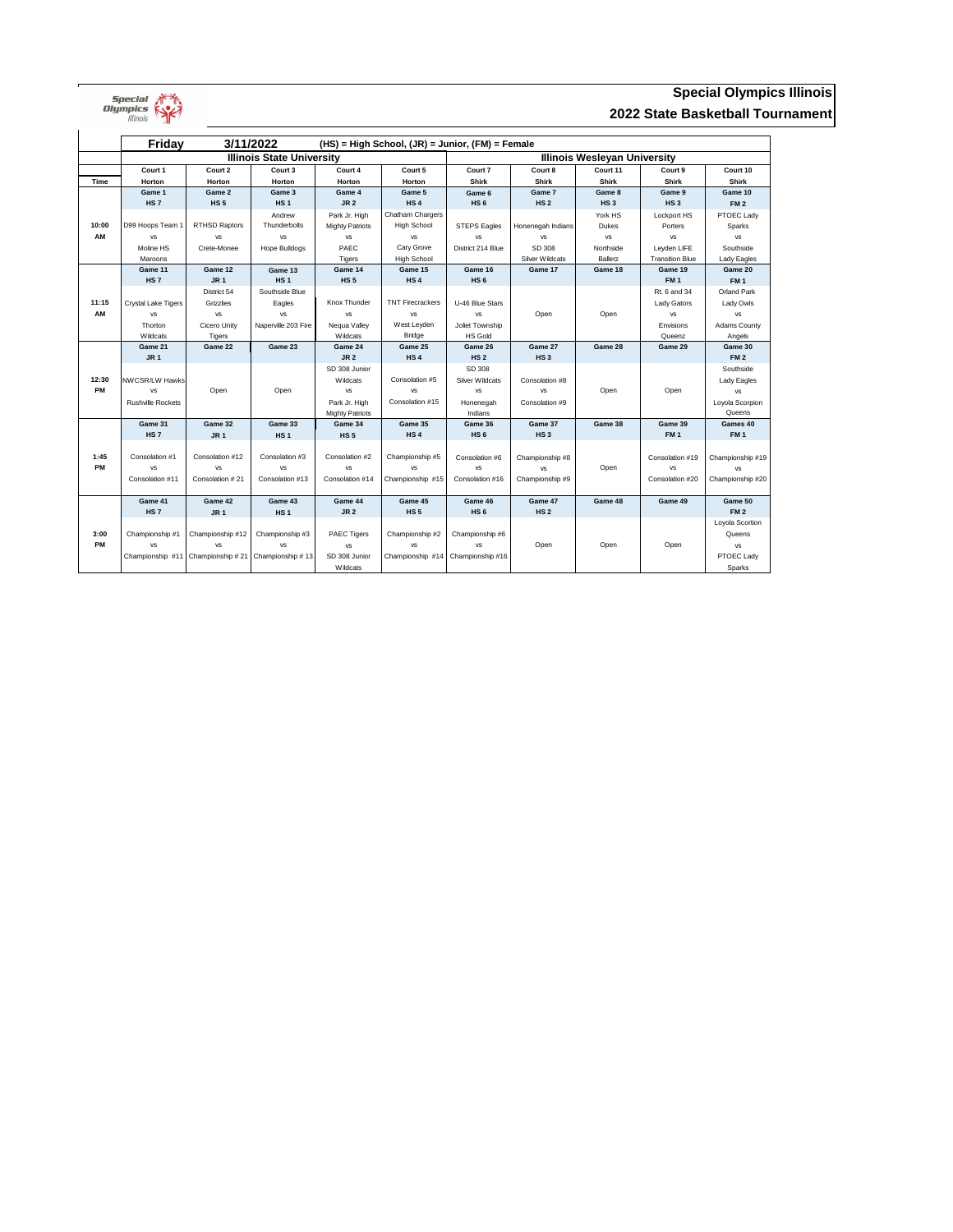

# **Special Olympics Illinois 2022 State Basketball Tournament**

|             | 3/11/2022<br><b>Friday</b><br>$(HS)$ = High School, $(JR)$ = Junior, $(FM)$ = Female |                                                                          |                     |                        |                         |                                     |                   |                  |                        |                     |  |
|-------------|--------------------------------------------------------------------------------------|--------------------------------------------------------------------------|---------------------|------------------------|-------------------------|-------------------------------------|-------------------|------------------|------------------------|---------------------|--|
|             | <b>Illinois State University</b>                                                     |                                                                          |                     |                        |                         | <b>Illinois Wesleyan University</b> |                   |                  |                        |                     |  |
|             | Court 1                                                                              | Court 2                                                                  | Court 3             | Court 4                | Court 5                 | Court 7                             | Court 8           | Court 11         | Court 9                | Court 10            |  |
| <b>Time</b> | <b>Horton</b>                                                                        | Horton                                                                   | Horton              | Horton                 | Horton                  | <b>Shirk</b>                        | <b>Shirk</b>      | <b>Shirk</b>     | <b>Shirk</b>           | <b>Shirk</b>        |  |
|             | Game 1                                                                               | Game 2                                                                   | Game 3              | Game 4                 | Game 5                  | Game 6                              | Game 7            | Game 8           | Game 9                 | Game 10             |  |
|             | <b>HS7</b>                                                                           | <b>HS5</b>                                                               | HS <sub>1</sub>     | JR <sub>2</sub>        | HS <sub>4</sub>         | HS <sub>6</sub>                     | HS <sub>2</sub>   | HS <sub>3</sub>  | HS <sub>3</sub>        | <b>FM2</b>          |  |
|             |                                                                                      |                                                                          | Andrew              | Park Jr. High          | <b>Chatham Chargers</b> |                                     |                   | York HS          | Lockport HS            | PTOEC Lady          |  |
| 10:00       | D99 Hoops Team 1                                                                     | <b>RTHSD Raptors</b>                                                     | Thunderbolts        | <b>Mighty Patriots</b> | <b>High School</b>      | <b>STEPS Eagles</b>                 | Honenegah Indians | <b>Dukes</b>     | Porters                | Sparks              |  |
| AM          | <b>VS</b>                                                                            | <b>VS</b>                                                                | <b>VS</b>           | <b>VS</b>              | <b>VS</b>               | <b>VS</b>                           | <b>VS</b>         | <b>VS</b>        | <b>VS</b>              | <b>VS</b>           |  |
|             | Moline HS                                                                            | Crete-Monee                                                              | Hope Bulldogs       | PAEC                   | Cary Grove              | District 214 Blue                   | SD 308            | Northside        | Leyden LIFE            | Southside           |  |
|             | Maroons                                                                              |                                                                          |                     | Tigers                 | <b>High School</b>      |                                     | Silver Wildcats   | <b>Ballerz</b>   | <b>Transition Blue</b> | Lady Eagles         |  |
|             | Game 11                                                                              | Game 12                                                                  | Game 13             | Game 14                | Game 15                 | Game 16                             | Game 17           | Game 18          | Game 19                | Game 20             |  |
|             | <b>HS7</b>                                                                           | <b>JR1</b>                                                               | <b>HS1</b>          | <b>HS5</b>             | HS <sub>4</sub>         | HS <sub>6</sub>                     |                   |                  | <b>FM1</b>             | <b>FM1</b>          |  |
|             |                                                                                      | District 54                                                              | Southside Blue      |                        |                         |                                     |                   |                  | Rt. 6 and 34           | <b>Orland Park</b>  |  |
| 11:15       | Crystal Lake Tigers                                                                  | Grizzlies                                                                | Eagles              | Knox Thunder           | <b>TNT Firecrackers</b> | U-46 Blue Stars                     |                   |                  | Lady Gators            | Lady Owls           |  |
| AM          | <b>VS</b>                                                                            | <b>VS</b>                                                                | <b>VS</b>           | <b>VS</b>              | <b>VS</b>               | <b>VS</b>                           | Open              | Open             | <b>VS</b>              | <b>VS</b>           |  |
|             | Thorton                                                                              | Cicero Unity                                                             | Naperville 203 Fire | Nequa Valley           | West Leyden             | Joliet Township                     |                   |                  | Envisions              | <b>Adams County</b> |  |
|             | Wildcats                                                                             | Tigers                                                                   |                     | Wildcats               | <b>Bridge</b>           | <b>HS Gold</b>                      |                   |                  | Queenz                 | Angels              |  |
|             | Game 21                                                                              | Game 22                                                                  | Game 23             | Game 24                | Game 25                 | Game 26                             | Game 27           | Game 28          | Game 29                | Game 30             |  |
|             | <b>JR1</b>                                                                           |                                                                          |                     | <b>JR 2</b>            | HS <sub>4</sub>         | HS <sub>2</sub>                     | <b>HS3</b>        |                  |                        | <b>FM2</b>          |  |
|             |                                                                                      |                                                                          |                     | SD 308 Junior          |                         | SD 308                              |                   |                  |                        | Southside           |  |
| 12:30       | NWCSR/LW Hawks                                                                       |                                                                          |                     | Wildcats               | Consolation #5          | <b>Silver Wildcats</b>              | Consolation #8    |                  |                        | Lady Eagles         |  |
| PM          | <b>VS</b>                                                                            | Open                                                                     | Open                | <b>VS</b>              | <b>VS</b>               | <b>VS</b>                           | <b>VS</b>         | Open             | Open                   | <b>VS</b>           |  |
|             | <b>Rushville Rockets</b>                                                             |                                                                          |                     | Park Jr. High          | Consolation #15         | Honenegah                           | Consolation #9    |                  |                        | Loyola Scorpion     |  |
|             |                                                                                      |                                                                          |                     | <b>Mighty Patriots</b> |                         | Indians                             |                   |                  |                        | Queens              |  |
|             | Game 31                                                                              | Game 32                                                                  | Game 33             | Game 34                | Game 35                 | Game 36                             | Game 37           | Game 38          | Game 39                | Games 40            |  |
|             | <b>HS7</b>                                                                           | <b>JR1</b>                                                               | <b>HS1</b>          | <b>HS5</b>             | HS <sub>4</sub>         | HS <sub>6</sub>                     | HS <sub>3</sub>   |                  | FM <sub>1</sub>        | <b>FM1</b>          |  |
|             |                                                                                      |                                                                          |                     |                        |                         |                                     |                   |                  |                        |                     |  |
| 1:45        | Consolation #1                                                                       | Consolation #12                                                          | Consolation #3      | Consolation #2         | Championship #5         | Consolation #6                      | Championship #8   |                  | Consolation #19        | Championship #19    |  |
| <b>PM</b>   | <b>VS</b>                                                                            | <b>VS</b>                                                                | <b>VS</b>           | <b>VS</b>              | <b>VS</b>               | VS                                  | <b>VS</b>         | Open             | <b>VS</b>              | <b>VS</b>           |  |
|             |                                                                                      | Consolation #21<br>Consolation #13<br>Consolation #14<br>Consolation #11 |                     | Championship #15       | Consolation #16         | Championship #9                     | Consolation #20   | Championship #20 |                        |                     |  |
|             | Game 41                                                                              | Game 42                                                                  | Game 43             | Game 44                | Game 45                 | Game 46                             | Game 47           | Game 48          | Game 49                | Game 50             |  |
|             | <b>HS7</b>                                                                           | <b>JR1</b>                                                               | <b>HS1</b>          | <b>JR 2</b>            | <b>HS5</b>              | HS <sub>6</sub>                     | HS <sub>2</sub>   |                  |                        | <b>FM2</b>          |  |
|             |                                                                                      |                                                                          |                     |                        |                         |                                     |                   |                  |                        | Loyola Scortion     |  |
| 3:00        | Championship #1                                                                      | Championship #12                                                         | Championship #3     | <b>PAEC Tigers</b>     | Championship #2         | Championship #6                     |                   |                  |                        | Queens              |  |
| <b>PM</b>   | <b>VS</b>                                                                            | <b>VS</b>                                                                | <b>VS</b>           | <b>VS</b>              | <b>VS</b>               | <b>VS</b>                           | Open              | Open             | Open                   | VS                  |  |
|             | Championship #11                                                                     | Championship #21                                                         | Championship #13    | SD 308 Junior          | Championship #14        | Championship #16                    |                   |                  |                        | PTOEC Lady          |  |
|             |                                                                                      |                                                                          |                     | <b>Wildcats</b>        |                         |                                     |                   |                  |                        | Sparks              |  |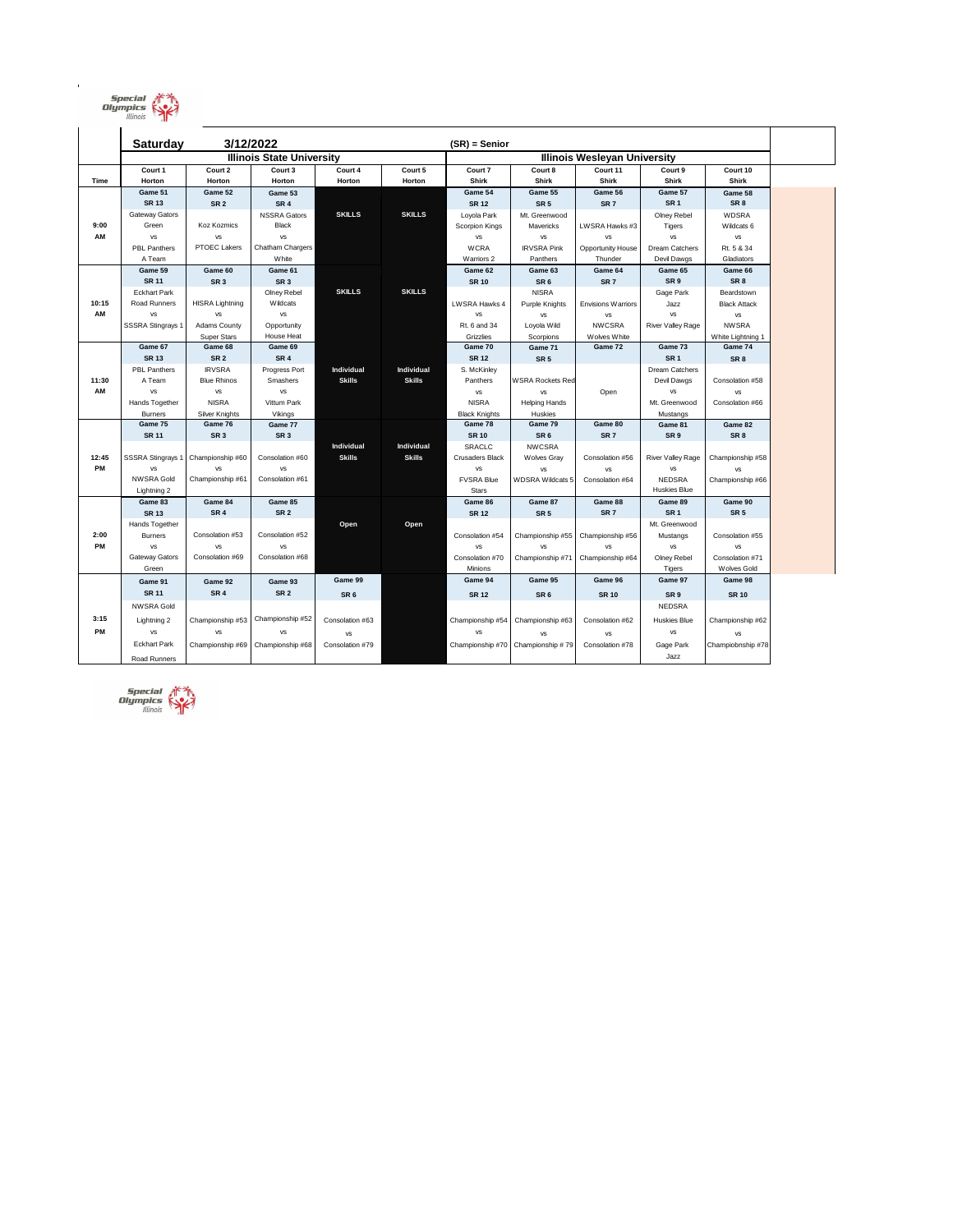

|       | 3/12/2022<br><b>Saturday</b>     |                        |                            |                 |               | $(SR)$ = Senior                     |                         |                           |                                  |                            |
|-------|----------------------------------|------------------------|----------------------------|-----------------|---------------|-------------------------------------|-------------------------|---------------------------|----------------------------------|----------------------------|
|       | <b>Illinois State University</b> |                        |                            |                 |               | <b>Illinois Wesleyan University</b> |                         |                           |                                  |                            |
|       | Court 1                          | Court 2                | Court 3                    | Court 4         | Court 5       | Court 7                             | Court 8                 | Court 11                  | Court 9                          | Court 10                   |
| Time  | Horton                           | Horton                 | Horton                     | Horton          | Horton        | <b>Shirk</b>                        | <b>Shirk</b>            | <b>Shirk</b>              | <b>Shirk</b>                     | <b>Shirk</b>               |
|       | Game 51                          | Game 52                | Game 53                    |                 |               | Game 54                             | Game 55                 | Game 56                   | Game 57                          | Game 58                    |
|       | <b>SR 13</b>                     | SR <sub>2</sub>        | SR <sub>4</sub>            |                 |               | <b>SR 12</b>                        | SR <sub>5</sub>         | SR <sub>7</sub>           | SR <sub>1</sub>                  | SR <sub>8</sub>            |
|       | Gateway Gators                   |                        | <b>NSSRA Gators</b>        | <b>SKILLS</b>   | <b>SKILLS</b> | Loyola Park                         | Mt. Greenwood           |                           | Olney Rebel                      | <b>WDSRA</b>               |
| 9:00  | Green                            | Koz Kozmics            | <b>Black</b>               |                 |               | Scorpion Kings                      | Mavericks               | LWSRA Hawks #3            | Tigers                           | Wildcats 6                 |
| AM    | <b>VS</b>                        | <b>VS</b>              | VS                         |                 |               | <b>VS</b>                           | <b>VS</b>               | <b>VS</b>                 | <b>VS</b>                        | VS                         |
|       | <b>PBL Panthers</b>              | <b>PTOEC Lakers</b>    | Chatham Chargers           |                 |               | <b>WCRA</b>                         | <b>IRVSRA Pink</b>      | <b>Opportunity House</b>  | Dream Catchers                   | Rt. 5 & 34                 |
|       | A Team                           |                        | White                      |                 |               | Warriors 2                          | Panthers                | Thunder                   | Devil Dawgs                      | Gladiators                 |
|       | Game 59                          | Game 60                | Game 61                    |                 |               | Game 62                             | Game 63                 | Game 64                   | Game 65                          | Game 66                    |
|       | <b>SR 11</b>                     | SR <sub>3</sub>        | SR <sub>3</sub>            |                 |               | <b>SR 10</b>                        | SR <sub>6</sub>         | SR <sub>7</sub>           | SR <sub>9</sub>                  | SR <sub>8</sub>            |
|       | <b>Eckhart Park</b>              |                        | Olney Rebel                | <b>SKILLS</b>   | <b>SKILLS</b> |                                     | <b>NISRA</b>            |                           | Gage Park                        | Beardstown                 |
| 10:15 | <b>Road Runners</b>              | <b>HISRA Lightning</b> | Wildcats                   |                 |               | LWSRA Hawks 4                       | Purple Knights          | <b>Envisions Warriors</b> | Jazz                             | <b>Black Attack</b>        |
| AM    | <b>VS</b>                        | <b>VS</b>              | VS                         |                 |               | VS                                  | VS                      | VS                        | <b>VS</b>                        | VS                         |
|       | SSSRA Stingrays 1                | <b>Adams County</b>    | Opportunity                |                 |               | Rt. 6 and 34                        | Loyola Wild             | <b>NWCSRA</b>             | <b>River Valley Rage</b>         | <b>NWSRA</b>               |
|       |                                  | <b>Super Stars</b>     | <b>House Heat</b>          |                 |               | Grizzlies                           | Scorpions               | Wolves White              |                                  | White Lightning 1          |
|       | Game 67                          | Game 68                | Game 69                    |                 |               | Game 70                             | Game 71                 | Game 72                   | Game 73                          | Game 74                    |
|       | <b>SR 13</b>                     | SR <sub>2</sub>        | SR <sub>4</sub>            |                 |               | <b>SR 12</b>                        | SR <sub>5</sub>         |                           | SR <sub>1</sub>                  | SR <sub>8</sub>            |
|       | <b>PBL Panthers</b>              | <b>IRVSRA</b>          | Progress Port              | Individual      | Individual    | S. McKinley                         |                         |                           | Dream Catchers                   |                            |
| 11:30 | A Team                           | <b>Blue Rhinos</b>     | Smashers                   | <b>Skills</b>   | <b>Skills</b> | Panthers                            | <b>WSRA Rockets Red</b> |                           | Devil Dawgs                      | Consolation #58            |
| AM    | <b>VS</b>                        | VS                     | VS                         |                 |               | VS                                  | <b>VS</b>               | Open                      | <b>VS</b>                        | VS                         |
|       | Hands Together                   | <b>NISRA</b>           | Vittum Park                |                 |               | <b>NISRA</b>                        | <b>Helping Hands</b>    |                           | Mt. Greenwood                    | Consolation #66            |
|       | <b>Burners</b>                   | Silver Knights         | Vikings                    |                 |               | <b>Black Knights</b>                | Huskies                 |                           | Mustangs                         |                            |
|       | Game 75                          | Game 76                | Game 77                    |                 |               | Game 78                             | Game 79                 | Game 80                   | Game 81                          | Game 82                    |
|       | <b>SR 11</b>                     | SR <sub>3</sub>        | SR <sub>3</sub>            |                 |               | <b>SR 10</b>                        | SR <sub>6</sub>         | SR <sub>7</sub>           | SR <sub>9</sub>                  | SR <sub>8</sub>            |
|       |                                  |                        |                            | Individual      | Individual    | SRACLC                              | <b>NWCSRA</b>           |                           |                                  |                            |
| 12:45 | <b>SSSRA Stingrays 1</b>         | Championship #60       | Consolation #60            | <b>Skills</b>   | <b>Skills</b> | <b>Crusaders Black</b>              | <b>Wolves Gray</b>      | Consolation #56           | River Valley Rage                | Championship #58           |
| PM    | <b>VS</b>                        | <b>VS</b>              | <b>VS</b>                  |                 |               | VS                                  | <b>VS</b>               | <b>VS</b>                 | VS                               | <b>VS</b>                  |
|       | <b>NWSRA Gold</b>                | Championship #61       | Consolation #61            |                 |               | <b>FVSRA Blue</b>                   | <b>WDSRA Wildcats 5</b> | Consolation #64           | <b>NEDSRA</b><br>Huskies Blue    | Championship #66           |
|       | Lightning 2                      |                        |                            |                 |               | <b>Stars</b>                        |                         |                           |                                  |                            |
|       | Game 83                          | Game 84                | Game 85<br>SR <sub>2</sub> |                 |               | Game 86                             | Game 87                 | Game 88                   | Game 89                          | Game 90<br>SR <sub>5</sub> |
|       | <b>SR 13</b><br>Hands Together   | SR <sub>4</sub>        |                            |                 |               | <b>SR 12</b>                        | SR <sub>5</sub>         | SR <sub>7</sub>           | SR <sub>1</sub><br>Mt. Greenwood |                            |
| 2:00  |                                  | Consolation #53        | Consolation #52            | Open            | Open          |                                     |                         |                           |                                  |                            |
| PM    | <b>Burners</b><br><b>VS</b>      | VS                     | VS                         |                 |               | Consolation #54<br>VS               | Championship #55        | Championship #56          | Mustangs                         | Consolation #55            |
|       | <b>Gateway Gators</b>            | Consolation #69        | Consolation #68            |                 |               | Consolation #70                     | VS<br>Championship #71  | VS<br>Championship #64    | VS<br>Olney Rebel                | vs<br>Consolation #71      |
|       | Green                            |                        |                            |                 |               | Minions                             |                         |                           |                                  | Wolves Gold                |
|       |                                  |                        |                            | Game 99         |               | Game 94                             | Game 95                 | Game 96                   | Tigers<br>Game 97                | Game 98                    |
|       | Game 91                          | Game 92                | Game 93                    |                 |               |                                     |                         |                           |                                  |                            |
|       | <b>SR 11</b>                     | SR <sub>4</sub>        | SR <sub>2</sub>            | SR <sub>6</sub> |               | <b>SR 12</b>                        | SR <sub>6</sub>         | <b>SR 10</b>              | SR <sub>9</sub>                  | <b>SR 10</b>               |
|       | <b>NWSRA Gold</b>                |                        |                            |                 |               |                                     |                         |                           | NEDSRA                           |                            |
| 3:15  | Lightning 2                      | Championship #53       | Championship #52           | Consolation #63 |               | Championship #54                    | Championship #63        | Consolation #62           | <b>Huskies Blue</b>              | Championship #62           |
| PM    | <b>VS</b>                        | <b>VS</b>              | <b>VS</b>                  | <b>VS</b>       |               | <b>VS</b>                           | VS                      | VS                        | VS                               | VS                         |
|       | <b>Eckhart Park</b>              | Championship #69       | Championship #68           | Consolation #79 |               | Championship #70                    | Championship #79        | Consolation #78           | Gage Park                        | Champiobnship #78          |
|       |                                  |                        |                            |                 |               |                                     |                         |                           | Jazz                             |                            |
|       | Road Runners                     |                        |                            |                 |               |                                     |                         |                           |                                  |                            |



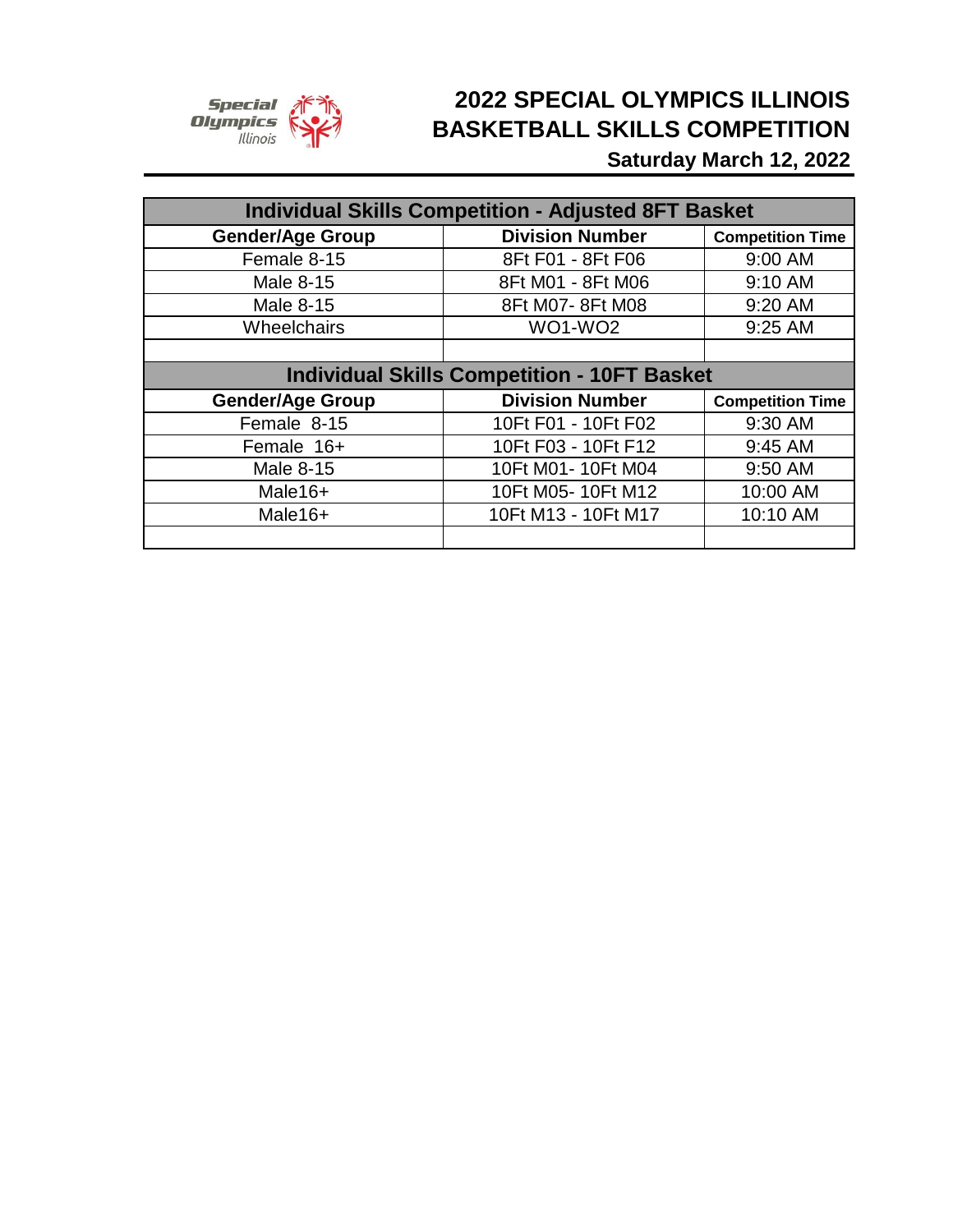

## **Saturday March 12, 2022 2022 SPECIAL OLYMPICS ILLINOIS BASKETBALL SKILLS COMPETITION**

| <b>Individual Skills Competition - Adjusted 8FT Basket</b> |                        |                         |  |  |  |  |  |
|------------------------------------------------------------|------------------------|-------------------------|--|--|--|--|--|
| <b>Gender/Age Group</b>                                    | <b>Division Number</b> | <b>Competition Time</b> |  |  |  |  |  |
| Female 8-15                                                | 8Ft F01 - 8Ft F06      | 9:00 AM                 |  |  |  |  |  |
| Male 8-15                                                  | 8Ft M01 - 8Ft M06      | 9:10 AM                 |  |  |  |  |  |
| Male 8-15                                                  | 8Ft M07-8Ft M08        | 9:20 AM                 |  |  |  |  |  |
| Wheelchairs                                                | <b>WO1-WO2</b>         | 9:25 AM                 |  |  |  |  |  |
|                                                            |                        |                         |  |  |  |  |  |
| <b>Individual Skills Competition - 10FT Basket</b>         |                        |                         |  |  |  |  |  |
| <b>Gender/Age Group</b>                                    | <b>Division Number</b> | <b>Competition Time</b> |  |  |  |  |  |
| Female 8-15                                                | 10Ft F01 - 10Ft F02    | 9:30 AM                 |  |  |  |  |  |
| Female 16+                                                 | 10Ft F03 - 10Ft F12    | 9:45 AM                 |  |  |  |  |  |
| <b>Male 8-15</b>                                           | 10Ft M01- 10Ft M04     | 9:50 AM                 |  |  |  |  |  |
| Male16+                                                    | 10Ft M05-10Ft M12      | 10:00 AM                |  |  |  |  |  |
| Male16+                                                    | 10Ft M13 - 10Ft M17    | 10:10 AM                |  |  |  |  |  |
|                                                            |                        |                         |  |  |  |  |  |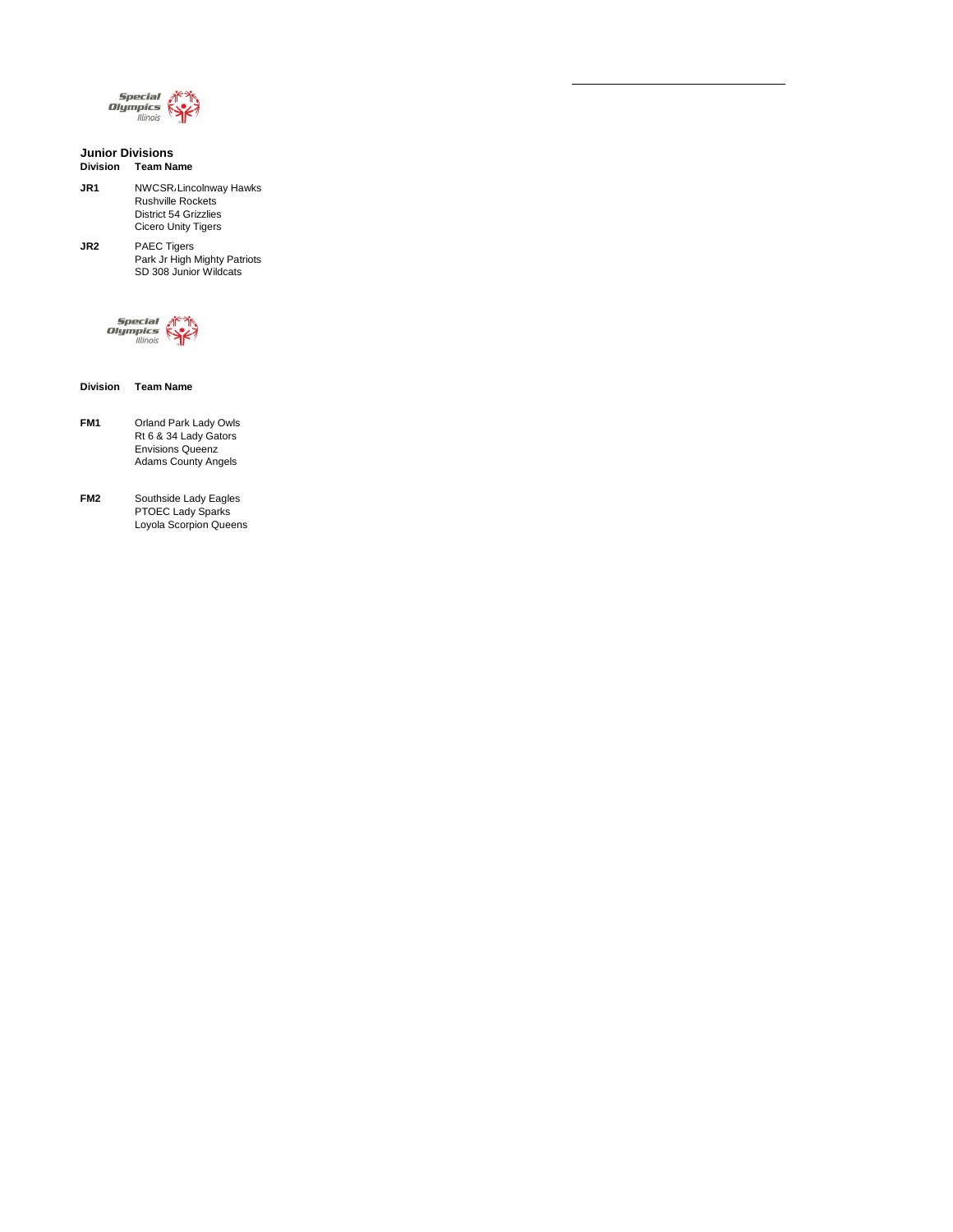

#### **Junior Divisions Division Team Name**

**JR1** NWCSR. Lincolnway Hawks Rushville Rockets District 54 Grizzlies Cicero Unity Tigers

**JR2** PAEC Tigers Park Jr High Mighty Patriots SD 308 Junior Wildcats



**Division Team Name**

- **FM1** Orland Park Lady Owls Rt 6 & 34 Lady Gators Envisions Queenz Adams County Angels
- **FM2** Southside Lady Eagles PTOEC Lady Sparks Loyola Scorpion Queens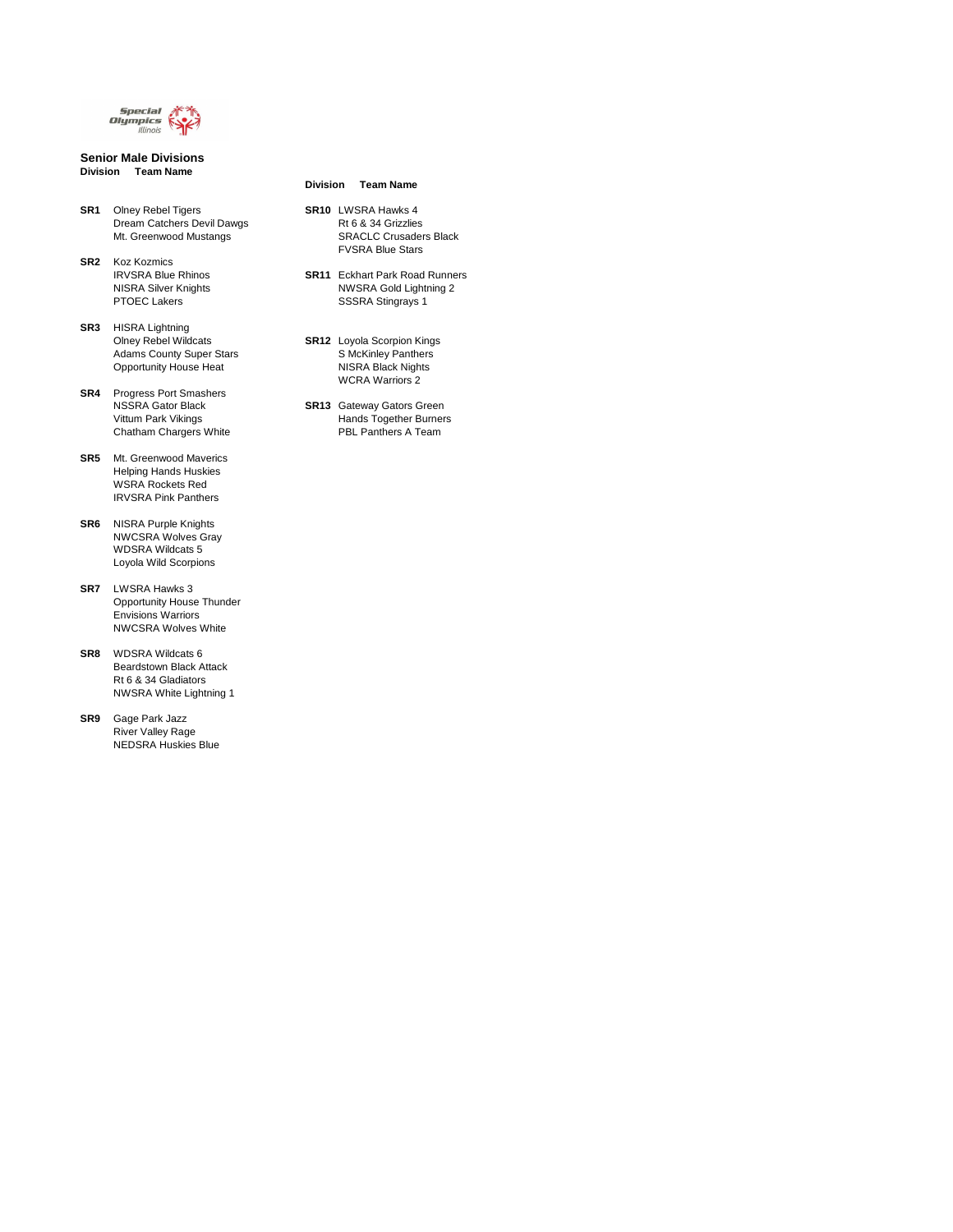

**Senior Male Divisions Division Team Name**

**SR1** Olney Rebel Tigers **SR10** LWSRA Hawks 4 Dream Catchers Devil Dawgs **Rt 6 & 34 Grizzlies** 

#### **Division Team Name**

Mt. Greenwood Mustangs **SRACLC Crusaders Black** FVSRA Blue Stars

IRVSRA Blue Rhinos **SR11** Eckhart Park Road Runners NISRA Silver Knights NWSRA Gold Lightning 2 PTOEC Lakers **SSSRA** Stingrays 1

**SR2** Koz Kozmics

Adams County Super Stars Super Stars S McKinley Panthers Opportunity House Heat Nights NISRA Black Nights WCRA Warriors 2

NSSRA Gator Black **SR13** Gateway Gators Green Vittum Park Vikings **Hands Together Burners** Chatham Chargers White PBL Panthers A Team

**SR3** HISRA Lightning Olney Rebel Wildcats **SR12** Loyola Scorpion Kings

**SR4** Progress Port Smashers

**SR5** Mt. Greenwood Maverics Helping Hands Huskies WSRA Rockets Red IRVSRA Pink Panthers

**SR6** NISRA Purple Knights NWCSRA Wolves Gray WDSRA Wildcats 5 Loyola Wild Scorpions

**SR7** LWSRA Hawks 3 Opportunity House Thunder Envisions Warriors NWCSRA Wolves White

**SR8** WDSRA Wildcats 6 Beardstown Black Attack Rt 6 & 34 Gladiators NWSRA White Lightning 1

**SR9** Gage Park Jazz River Valley Rage NEDSRA Huskies Blue